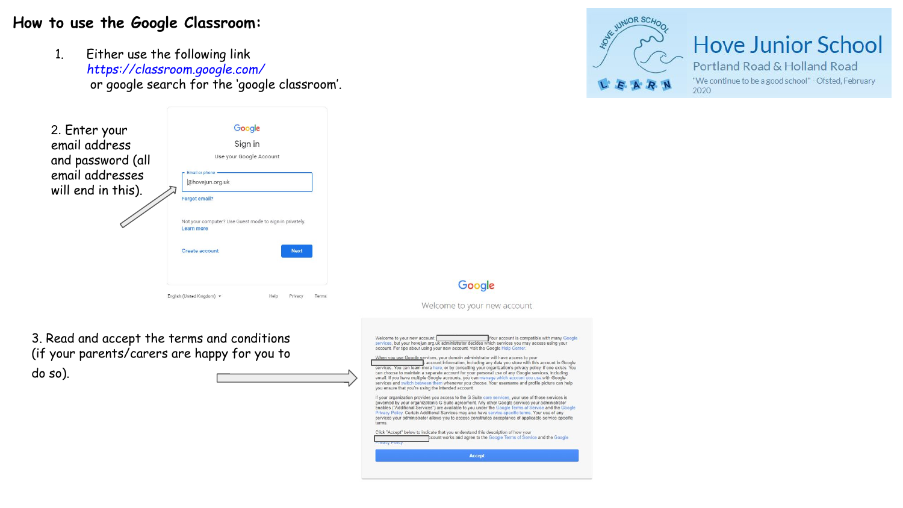## **How to use the Google Classroom:**

1. Either use the following link *https://classroom.google.com/* or google search for the 'google classroom'.



3. Read and accept the terms and conditions (if your parents/carers are happy for you to do so).



Google Welcome to your new account

Welcome to your new account: Your account is compatible with many Google services, but your howeiun org uk administrator decides which services you may access using your account. For tips about using your new account, visit the Google Help Center.

When you use Google services, your domain administrator will have access to your k account information, including any data you store with this account in Google services. You can learn more here, or by consulting your organization's privacy policy, if one exists. You can choose to maintain a separate account for your personal use of any Google services, including email. If you have multiple Google accounts, you can manage which account you use with Google services and switch between them whenever you choose. Your username and profile picture can help you ensure that you're using the intended account.

If your organization provides you access to the G Suite core services, your use of those services is it your organization provides you access to the G Suite core services, your use of those services is<br>governed by your organization's G Suite agreement. Any other Google services your administrator enables ("Additional Services") are available to you under the Google Terms of Service and the Google Privacy Policy. Certain Additional Services may also have service-specific terms. Your use of any services your administrator allows you to access constitutes acceptance of applicable service-specific torms

Click "Accept" below to indicate that you understand this description of how your count works and agree to the Google Terms of Service and the Google Accept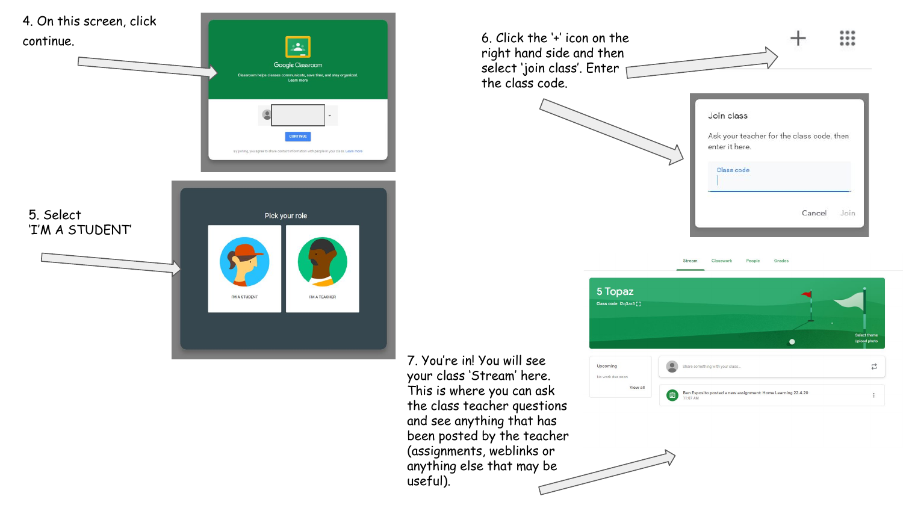

7. You're in! You will see your class 'Stream' here. This is where you can ask the class teacher questions and see anything that has been posted by the teacher (assignments, weblinks or anything else that may be useful).



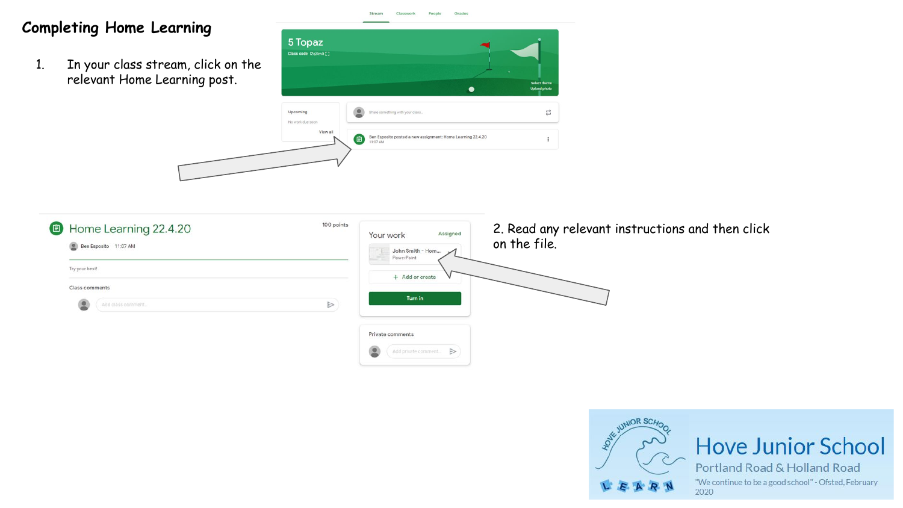## **Completing Home Learning**

1. In your class stream, click on the relevant Home Learning post.





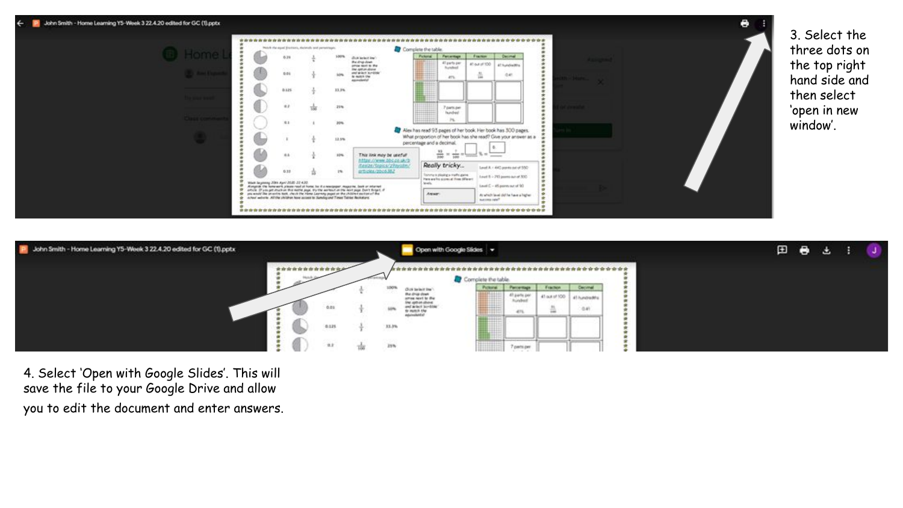



4. Select 'Open with Google Slides'. This will save the file to your Google Drive and allow you to edit the document and enter answers.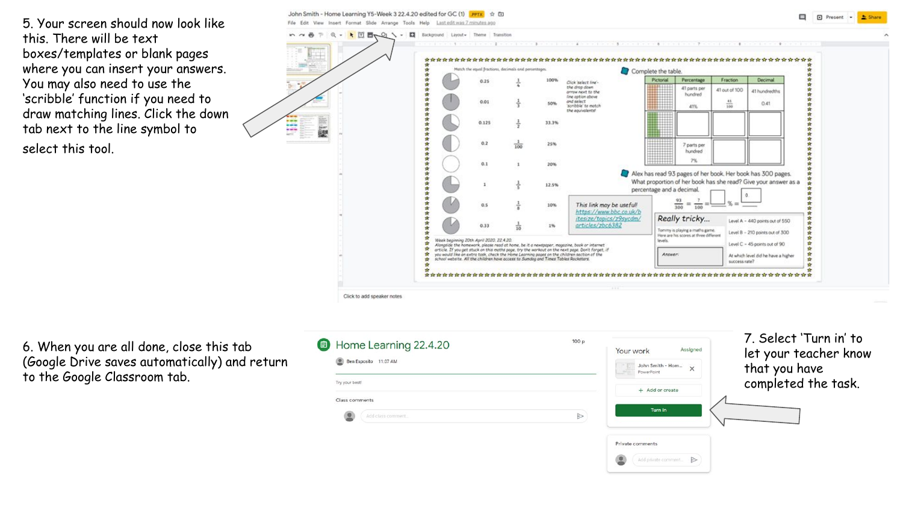5. Your screen should now look like this. There will be text boxes/templates or blank pages where you can insert your answers. You may also need to use the 'scribble' function if you need to draw matching lines. Click the down tab next to the line symbol to select this tool.

k 団 画 Q ヽ - 口 Background Layout-**Texas Pine** the the the the ti Match the ensai fractions, decimals and necessary Complete the table Pictorial Percentage Fraction Decimal  $0.25$ Click Statect Heat the drop down 41 parts per 41 out of 100 arrow next to the 41 hundredths **hundred** line cation above and select<br>'scribble' to motch  $0.01$  $rac{41}{100}$ 50%  $0.41$ 41% the equivalents!  $0.125$ 33.3% E. 蘷  $0.2$ 25% 7 parts per hundred  $0.1$ 20% Alex has read 93 pages of her book. Her book has 300 pages. What proportion of her book has she read? Give your answer as a 12.5% percentage and a decimal. 93  $\frac{7}{100}$  =  $0.5$ 10% This link may be useful!  $300$ https://www.bbc.co.uk/b itesize/topics/z9sycdm/ Really tricky... Level A - 440 points out of 550  $0.33$ articles/zbc6382 18 Tommy is playing a maths game. Level B - 210 points out of 300 tere are his scores at three different Week beginning 20th April 2020, 22.4.20. levels Level  $C$  - 45 points out of  $90$ Alongside the homework, please read at home, be it a newspaper, magazine, book or internet article. If you get stuck on this maths page, try the workout on the next page. Don't forget, if<br>you would like an extra task, check the Home Learning pages on the children section of the<br>school website. All the children h Answer At which level did he have a higher success rate? Click to add speaker notes

**El El Present** - **2 Share** 

John Smith - Home Learning Y5-Week 3 22.4.20 edited for GC (1) PPTX + ED

File Edit View Insert Format Slide Arrange Tools Help Last-editwas 7 minutes ago

. . .

6. When you are all done, close this tab (Google Drive saves automatically) and return to the Google Classroom tab.

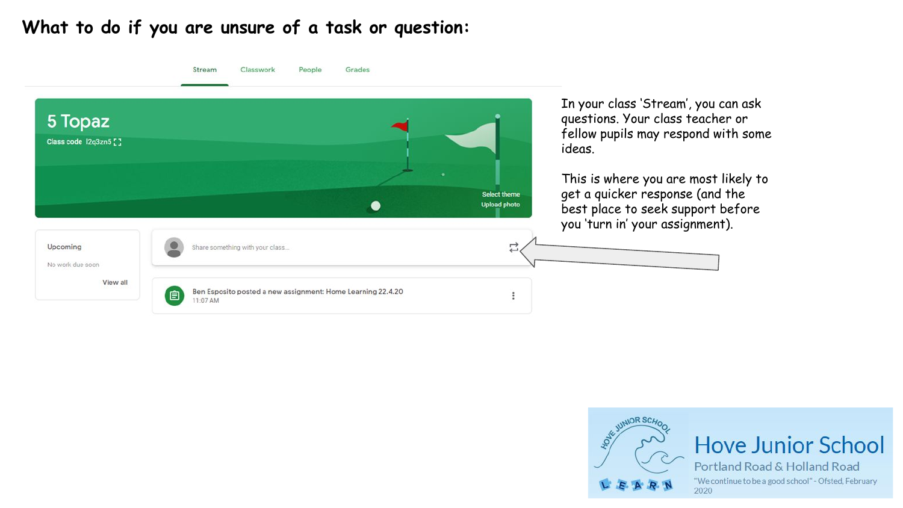## **What to do if you are unsure of a task or question:**

|                                  | Stream<br>Classwork<br>Grades<br>People                                      |                     |                                                                                                                                                                                                     |
|----------------------------------|------------------------------------------------------------------------------|---------------------|-----------------------------------------------------------------------------------------------------------------------------------------------------------------------------------------------------|
| 5 Topaz<br>Class code 12q3zn5 [] |                                                                              | Select theme        | In your class 'Stream', you can ask<br>questions. Your class teacher or<br>fellow pupils may respond with some<br>ideas.<br>This is where you are most likely to<br>get a quicker response (and the |
|                                  |                                                                              | <b>Upload photo</b> | best place to seek support before<br>you 'turn in' your assignment).                                                                                                                                |
| Upcoming<br>No work due soon     | Share something with your class                                              | E                   |                                                                                                                                                                                                     |
| View all                         | Ben Esposito posted a new assignment: Home Learning 22.4.20<br>自<br>11:07 AM |                     |                                                                                                                                                                                                     |



**Hove Junior School** 

Portland Road & Holland Road "We continue to be a good school" - Ofsted, February 2020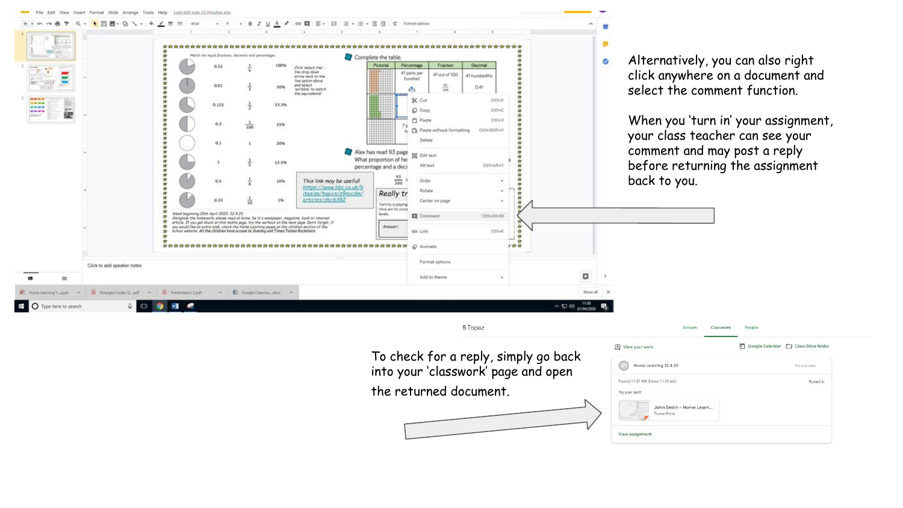| Match the equal fractions, decimals and percentage<br>Complete the table<br>Alternatively, you can also right<br>$\bullet$<br>Pictorial<br>Percentage<br>Fraction<br>Decimal<br>0.25<br>Click 'extert line'-<br>click anywhere on a document and<br>the dree down<br>41 parts per<br>41 out of 100<br>41 hundredths<br>arrow next to the<br>hundred<br>line option above<br>0.01<br>and select<br>$\frac{41}{100}$<br>0.41<br>50%<br>select the comment function.<br>scribble to natch<br>475<br>the equivalents<br><b>CAN MOVIE</b><br><b>X</b> Cut<br>Ctrl+X<br><b>UMMA</b><br>0.125<br>33.3%<br>----<br>D Copy<br>Ctri+C<br>砸<br>----<br>When you 'turn in' your assignment,<br><b>Paste</b><br>Chris V<br>0.2<br>25%<br>100<br>食<br>Paste without formatting<br>Ctrl+Shift+V<br>N<br>your class teacher can see your<br>Delate<br>0.1<br>20%<br>comment and may post a reply<br>Alex has read 93 page<br><b>TAT</b> Edit text<br>What proportion of he<br>$\mathbf{1}$<br>12.5%<br>before returning the assignment<br>Alt text<br>Ctrl+Alt+Y<br>percentage and a deci<br>$\frac{93}{300}$<br>back to you.<br>Order<br>$0.5^{\circ}$<br>This link may be useful!<br>10%<br>https://www.bbc.co.uk/b<br>Rotate<br>Really tr<br>(tesize/topics/z9sycdm/<br>articles/zbc6382<br>0.33<br>1%<br>Center on page<br>Torriny is playing<br>Here are his score<br>Week beginning 20th April 2020, 22.4.20.<br>levels.<br>CirleAlteM<br>Comment<br>Alongside the homework, please read at home, be it a newspaper, magazine, book or internet<br>堂<br>orticle. If you get stuck on this maths page, try the workout on the next page. Don't forget, if<br>Answer:<br>$\bullet$<br>you would like on extra task, check the Home Learning pages on the children section of the<br>school website. All the children have access to Sumdog and Times Tables Rockstars.<br>$C\text{trick}$<br>op Link<br>÷<br>下宫室<br>Format options<br>Click to add speaker notes<br>O<br>Add to theme<br>m<br>C Home Learning Y pptx A B Enlarged Codex Q pdf A B Presentation 2 pdf<br>A Coople Classroo Joca A<br>Show all<br>11:30<br><b>D</b> Type here to search<br>$\square$<br>$\wedge$ 1, 40<br>01/04/202<br>5 Topaz<br>Stream<br>Classwork<br>People<br>Google Calendar Class Drive folder<br>View your work<br>To check for a reply, simply go back<br>Home Learning 22.4.20<br>No due date<br>into your 'classwork' page and open<br>Posted 11:07 AM (Edited 11:39 AM)<br>Turned in<br>the returned document.<br>Try your best!<br>John Smith - Home Learn<br>PowerPoint |  |  |  |  |  |  |
|---------------------------------------------------------------------------------------------------------------------------------------------------------------------------------------------------------------------------------------------------------------------------------------------------------------------------------------------------------------------------------------------------------------------------------------------------------------------------------------------------------------------------------------------------------------------------------------------------------------------------------------------------------------------------------------------------------------------------------------------------------------------------------------------------------------------------------------------------------------------------------------------------------------------------------------------------------------------------------------------------------------------------------------------------------------------------------------------------------------------------------------------------------------------------------------------------------------------------------------------------------------------------------------------------------------------------------------------------------------------------------------------------------------------------------------------------------------------------------------------------------------------------------------------------------------------------------------------------------------------------------------------------------------------------------------------------------------------------------------------------------------------------------------------------------------------------------------------------------------------------------------------------------------------------------------------------------------------------------------------------------------------------------------------------------------------------------------------------------------------------------------------------------------------------------------------------------------------------------------------------------------------------------------------------------------------------------------------------------------------------------------------------------------------------------------------------------------------------------------------------------------------------------------------------------|--|--|--|--|--|--|
|                                                                                                                                                                                                                                                                                                                                                                                                                                                                                                                                                                                                                                                                                                                                                                                                                                                                                                                                                                                                                                                                                                                                                                                                                                                                                                                                                                                                                                                                                                                                                                                                                                                                                                                                                                                                                                                                                                                                                                                                                                                                                                                                                                                                                                                                                                                                                                                                                                                                                                                                                         |  |  |  |  |  |  |
|                                                                                                                                                                                                                                                                                                                                                                                                                                                                                                                                                                                                                                                                                                                                                                                                                                                                                                                                                                                                                                                                                                                                                                                                                                                                                                                                                                                                                                                                                                                                                                                                                                                                                                                                                                                                                                                                                                                                                                                                                                                                                                                                                                                                                                                                                                                                                                                                                                                                                                                                                         |  |  |  |  |  |  |
|                                                                                                                                                                                                                                                                                                                                                                                                                                                                                                                                                                                                                                                                                                                                                                                                                                                                                                                                                                                                                                                                                                                                                                                                                                                                                                                                                                                                                                                                                                                                                                                                                                                                                                                                                                                                                                                                                                                                                                                                                                                                                                                                                                                                                                                                                                                                                                                                                                                                                                                                                         |  |  |  |  |  |  |
|                                                                                                                                                                                                                                                                                                                                                                                                                                                                                                                                                                                                                                                                                                                                                                                                                                                                                                                                                                                                                                                                                                                                                                                                                                                                                                                                                                                                                                                                                                                                                                                                                                                                                                                                                                                                                                                                                                                                                                                                                                                                                                                                                                                                                                                                                                                                                                                                                                                                                                                                                         |  |  |  |  |  |  |
|                                                                                                                                                                                                                                                                                                                                                                                                                                                                                                                                                                                                                                                                                                                                                                                                                                                                                                                                                                                                                                                                                                                                                                                                                                                                                                                                                                                                                                                                                                                                                                                                                                                                                                                                                                                                                                                                                                                                                                                                                                                                                                                                                                                                                                                                                                                                                                                                                                                                                                                                                         |  |  |  |  |  |  |
|                                                                                                                                                                                                                                                                                                                                                                                                                                                                                                                                                                                                                                                                                                                                                                                                                                                                                                                                                                                                                                                                                                                                                                                                                                                                                                                                                                                                                                                                                                                                                                                                                                                                                                                                                                                                                                                                                                                                                                                                                                                                                                                                                                                                                                                                                                                                                                                                                                                                                                                                                         |  |  |  |  |  |  |
|                                                                                                                                                                                                                                                                                                                                                                                                                                                                                                                                                                                                                                                                                                                                                                                                                                                                                                                                                                                                                                                                                                                                                                                                                                                                                                                                                                                                                                                                                                                                                                                                                                                                                                                                                                                                                                                                                                                                                                                                                                                                                                                                                                                                                                                                                                                                                                                                                                                                                                                                                         |  |  |  |  |  |  |
|                                                                                                                                                                                                                                                                                                                                                                                                                                                                                                                                                                                                                                                                                                                                                                                                                                                                                                                                                                                                                                                                                                                                                                                                                                                                                                                                                                                                                                                                                                                                                                                                                                                                                                                                                                                                                                                                                                                                                                                                                                                                                                                                                                                                                                                                                                                                                                                                                                                                                                                                                         |  |  |  |  |  |  |
|                                                                                                                                                                                                                                                                                                                                                                                                                                                                                                                                                                                                                                                                                                                                                                                                                                                                                                                                                                                                                                                                                                                                                                                                                                                                                                                                                                                                                                                                                                                                                                                                                                                                                                                                                                                                                                                                                                                                                                                                                                                                                                                                                                                                                                                                                                                                                                                                                                                                                                                                                         |  |  |  |  |  |  |